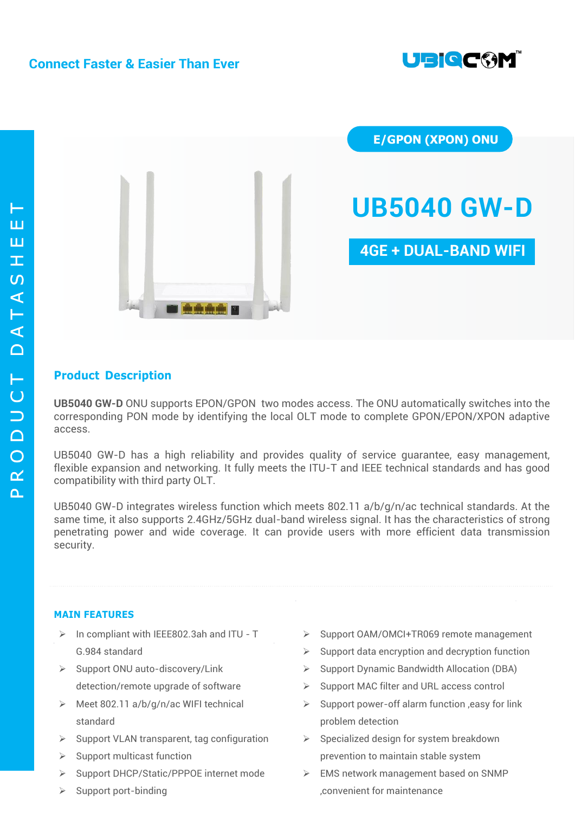# **Connect Faster & Easier Than Ever**





**E/GPON (XPON) ONU**

# **UB5040 GW-D**

# **4GE + DUAL-BAND WIFI**

## **Product Description**

**UB5040 GW-D** ONU supports EPON/GPON two modes access. The ONU automatically switches into the corresponding PON mode by identifying the local OLT mode to complete GPON/EPON/XPON adaptive access.

UB5040 GW-D has a high reliability and provides quality of service guarantee, easy management, flexible expansion and networking. It fully meets the ITU-T and IEEE technical standards and has good compatibility with third party OLT.

UB5040 GW-D integrates wireless function which meets 802.11 a/b/g/n/ac technical standards. At the same time, it also supports 2.4GHz/5GHz dual-band wireless signal. It has the characteristics of strong penetrating power and wide coverage. It can provide users with more efficient data transmission security.

#### **MAIN FEATURES**

- $\triangleright$  In compliant with IEEE802.3ah and ITU T G.984 standard
- $\triangleright$  Support ONU auto-discovery/Link detection/remote upgrade of software
- $\triangleright$  Meet 802.11 a/b/g/n/ac WIFI technical standard
- $\triangleright$  Support VLAN transparent, tag configuration
- $\triangleright$  Support multicast function
- ▶ Support DHCP/Static/PPPOE internet mode
- $\triangleright$  Support port-binding
- ▶ Support OAM/OMCI+TR069 remote management
- $\triangleright$  Support data encryption and decryption function
- $\triangleright$  Support Dynamic Bandwidth Allocation (DBA)
- ▶ Support MAC filter and URL access control
- $\triangleright$  Support power-off alarm function , easy for link problem detection
- $\triangleright$  Specialized design for system breakdown prevention to maintain stable system
- EMS network management based on SNMP ,convenient for maintenance